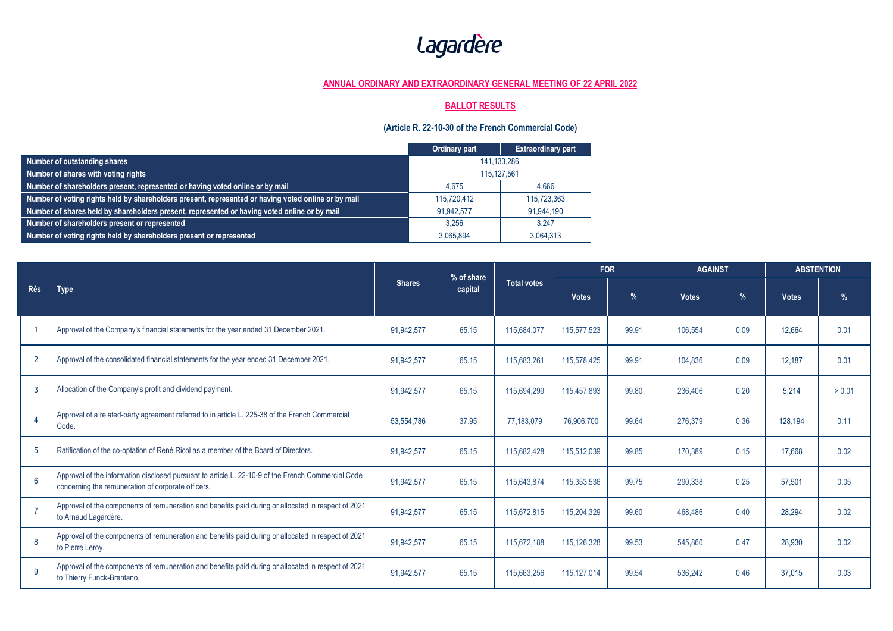## Lagardère

## **ANNUAL ORDINARY AND EXTRAORDINARY GENERAL MEETING OF 22 APRIL 2022**

## **BALLOT RESULTS**

## **(Article R. 22-10-30 of the French Commercial Code)**

|                                                                                                     | Ordinary part | <b>Extraordinary part</b> |  |  |
|-----------------------------------------------------------------------------------------------------|---------------|---------------------------|--|--|
| Number of outstanding shares                                                                        | 141.133.286   |                           |  |  |
| Number of shares with voting rights                                                                 | 115.127.561   |                           |  |  |
| Number of shareholders present, represented or having voted online or by mail                       | 4.675         | 4.666                     |  |  |
| Number of voting rights held by shareholders present, represented or having voted online or by mail | 115.720.412   | 115.723.363               |  |  |
| Number of shares held by shareholders present, represented or having voted online or by mail        | 91.942.577    | 91,944,190                |  |  |
| Number of shareholders present or represented                                                       | 3.256         | 3.247                     |  |  |
| Number of voting rights held by shareholders present or represented                                 | 3.065.894     | 3,064,313                 |  |  |

| Rés             | <b>Type</b>                                                                                                                                              | <b>Shares</b> | % of share<br>capital | <b>Total votes</b> | <b>FOR</b>   |       | <b>AGAINST</b> |      | <b>ABSTENTION</b> |               |
|-----------------|----------------------------------------------------------------------------------------------------------------------------------------------------------|---------------|-----------------------|--------------------|--------------|-------|----------------|------|-------------------|---------------|
|                 |                                                                                                                                                          |               |                       |                    | <b>Votes</b> | $\%$  | <b>Votes</b>   | $\%$ | <b>Votes</b>      | $\frac{9}{6}$ |
|                 | Approval of the Company's financial statements for the year ended 31 December 2021.                                                                      | 91.942.577    | 65.15                 | 115.684.077        | 115,577,523  | 99.91 | 106.554        | 0.09 | 12.664            | 0.01          |
| $\overline{2}$  | Approval of the consolidated financial statements for the year ended 31 December 2021.                                                                   | 91,942,577    | 65.15                 | 115,683,261        | 115,578,425  | 99.91 | 104,836        | 0.09 | 12.187            | 0.01          |
| $\mathbf{3}$    | Allocation of the Company's profit and dividend payment.                                                                                                 | 91,942,577    | 65.15                 | 115,694,299        | 115,457,893  | 99.80 | 236.406        | 0.20 | 5.214             | > 0.01        |
|                 | Approval of a related-party agreement referred to in article L. 225-38 of the French Commercial<br>Code.                                                 | 53,554,786    | 37.95                 | 77,183,079         | 76,906,700   | 99.64 | 276.379        | 0.36 | 128.194           | 0.11          |
| $5\phantom{.0}$ | Ratification of the co-optation of René Ricol as a member of the Board of Directors.                                                                     | 91,942,577    | 65.15                 | 115,682,428        | 115,512,039  | 99.85 | 170.389        | 0.15 | 17.668            | 0.02          |
| 6               | Approval of the information disclosed pursuant to article L. 22-10-9 of the French Commercial Code<br>concerning the remuneration of corporate officers. | 91,942,577    | 65.15                 | 115,643,874        | 115,353,536  | 99.75 | 290,338        | 0.25 | 57,501            | 0.05          |
| $\overline{7}$  | Approval of the components of remuneration and benefits paid during or allocated in respect of 2021<br>to Arnaud Lagardère.                              | 91,942,577    | 65.15                 | 115,672,815        | 115,204,329  | 99.60 | 468.486        | 0.40 | 28,294            | 0.02          |
| 8               | Approval of the components of remuneration and benefits paid during or allocated in respect of 2021<br>to Pierre Leroy.                                  | 91,942,577    | 65.15                 | 115,672,188        | 115,126,328  | 99.53 | 545.860        | 0.47 | 28.930            | 0.02          |
| 9               | Approval of the components of remuneration and benefits paid during or allocated in respect of 2021<br>to Thierry Funck-Brentano.                        | 91,942,577    | 65.15                 | 115,663,256        | 115,127,014  | 99.54 | 536.242        | 0.46 | 37.015            | 0.03          |